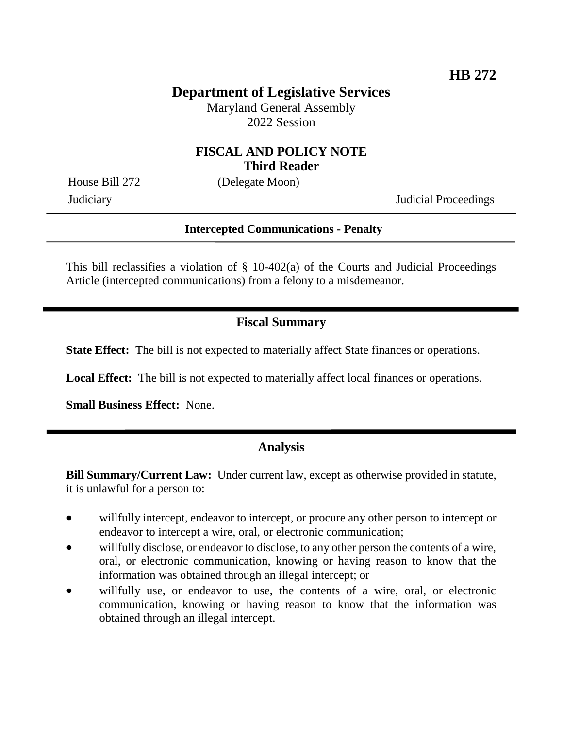# **Department of Legislative Services**

Maryland General Assembly 2022 Session

#### **FISCAL AND POLICY NOTE Third Reader**

House Bill 272 (Delegate Moon)

Judiciary Judicial Proceedings

#### **Intercepted Communications - Penalty**

This bill reclassifies a violation of  $\S$  10-402(a) of the Courts and Judicial Proceedings Article (intercepted communications) from a felony to a misdemeanor.

## **Fiscal Summary**

**State Effect:** The bill is not expected to materially affect State finances or operations.

**Local Effect:** The bill is not expected to materially affect local finances or operations.

**Small Business Effect:** None.

## **Analysis**

**Bill Summary/Current Law:** Under current law, except as otherwise provided in statute, it is unlawful for a person to:

- willfully intercept, endeavor to intercept, or procure any other person to intercept or endeavor to intercept a wire, oral, or electronic communication;
- willfully disclose, or endeavor to disclose, to any other person the contents of a wire, oral, or electronic communication, knowing or having reason to know that the information was obtained through an illegal intercept; or
- willfully use, or endeavor to use, the contents of a wire, oral, or electronic communication, knowing or having reason to know that the information was obtained through an illegal intercept.